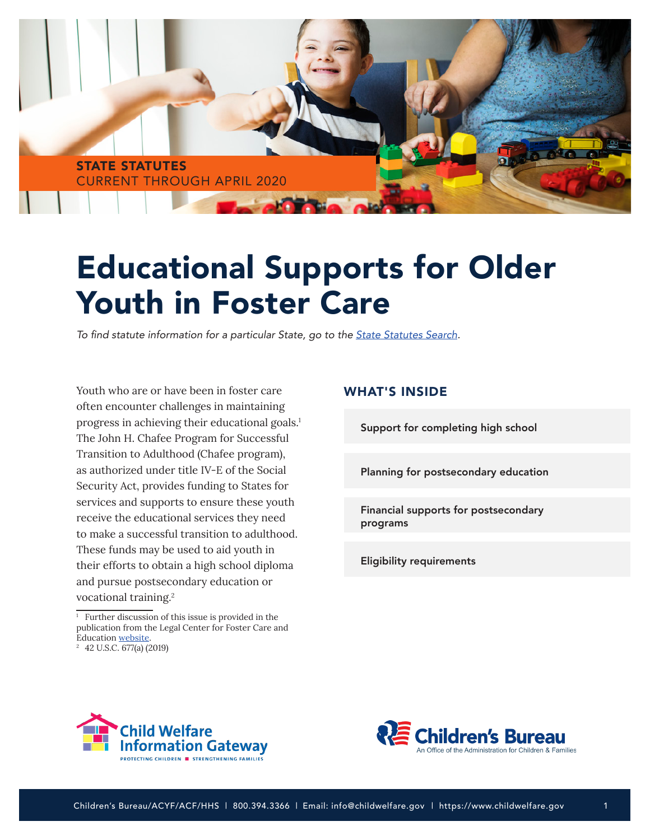

# Educational Supports for Older Youth in Foster Care

To find statute information for a particular State, go to the **State Statutes Search**.

Youth who are or have been in foster care often encounter challenges in maintaining progress in achieving their educational goals.<sup>1</sup> The John H. Chafee Program for Successful Transition to Adulthood (Chafee program), as authorized under title IV-E of the Social Security Act, provides funding to States for services and supports to ensure these youth receive the educational services they need to make a successful transition to adulthood. These funds may be used to aid youth in their efforts to obtain a high school diploma and pursue postsecondary education or vocational training.2

#### WHAT'S INSIDE

[Support for completing high school](#page-1-0)

[Planning for postsecondary education](#page-1-0)

[Financial supports for postsecondary](#page-2-0) programs

[Eligibility requirements](#page-3-0)





<sup>&</sup>lt;sup>1</sup> Further discussion of this issue is provided in the publication from the Legal Center for Foster Care and Education [website.](http://fosteringsuccessmichigan.com/network/legal-center-for-foster-care-and-education)

<sup>2 42</sup> U.S.C. 677(a) (2019)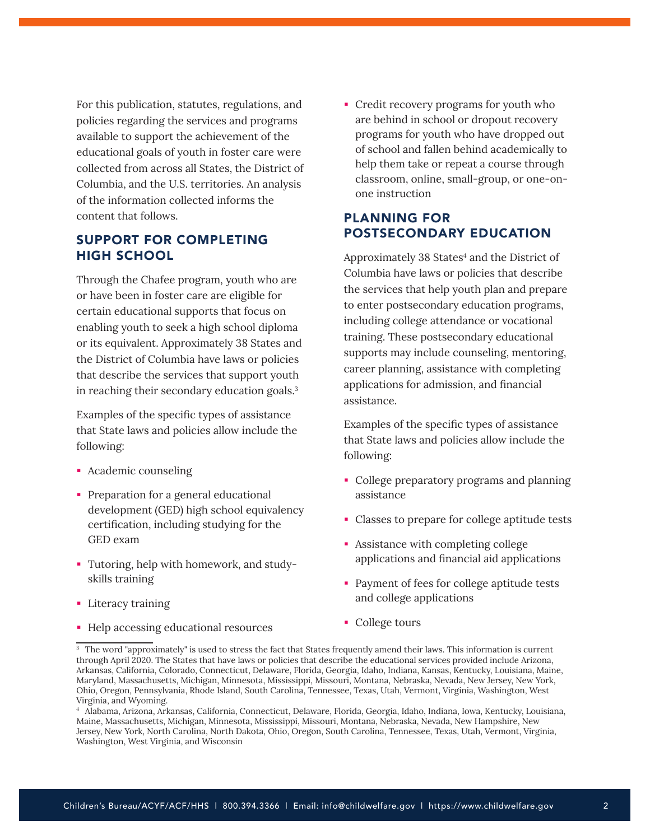<span id="page-1-0"></span>For this publication, statutes, regulations, and policies regarding the services and programs available to support the achievement of the educational goals of youth in foster care were collected from across all States, the District of Columbia, and the U.S. territories. An analysis of the information collected informs the content that follows.

# SUPPORT FOR COMPLETING HIGH SCHOOL

Through the Chafee program, youth who are or have been in foster care are eligible for certain educational supports that focus on enabling youth to seek a high school diploma or its equivalent. Approximately 38 States and the District of Columbia have laws or policies that describe the services that support youth in reaching their secondary education goals.3

Examples of the specific types of assistance that State laws and policies allow include the following:

- Academic counseling
- **Preparation for a general educational** development (GED) high school equivalency certification, including studying for the GED exam
- Tutoring, help with homework, and studyskills training
- **Literacy training**
- Help accessing educational resources

• Credit recovery programs for youth who are behind in school or dropout recovery programs for youth who have dropped out of school and fallen behind academically to help them take or repeat a course through classroom, online, small-group, or one-onone instruction

## PLANNING FOR POSTSECONDARY EDUCATION

Approximately 38 States<sup>4</sup> and the District of Columbia have laws or policies that describe the services that help youth plan and prepare to enter postsecondary education programs, including college attendance or vocational training. These postsecondary educational supports may include counseling, mentoring, career planning, assistance with completing applications for admission, and financial assistance.

Examples of the specific types of assistance that State laws and policies allow include the following:

- College preparatory programs and planning assistance
- Classes to prepare for college aptitude tests
- Assistance with completing college applications and financial aid applications
- **Payment of fees for college aptitude tests** and college applications
- College tours

<sup>&</sup>lt;sup>3</sup> The word "approximately" is used to stress the fact that States frequently amend their laws. This information is current through April 2020. The States that have laws or policies that describe the educational services provided include Arizona, Arkansas, California, Colorado, Connecticut, Delaware, Florida, Georgia, Idaho, Indiana, Kansas, Kentucky, Louisiana, Maine, Maryland, Massachusetts, Michigan, Minnesota, Mississippi, Missouri, Montana, Nebraska, Nevada, New Jersey, New York, Ohio, Oregon, Pennsylvania, Rhode Island, South Carolina, Tennessee, Texas, Utah, Vermont, Virginia, Washington, West Virginia, and Wyoming.

<sup>4</sup> Alabama, Arizona, Arkansas, California, Connecticut, Delaware, Florida, Georgia, Idaho, Indiana, Iowa, Kentucky, Louisiana, Maine, Massachusetts, Michigan, Minnesota, Mississippi, Missouri, Montana, Nebraska, Nevada, New Hampshire, New Jersey, New York, North Carolina, North Dakota, Ohio, Oregon, South Carolina, Tennessee, Texas, Utah, Vermont, Virginia, Washington, West Virginia, and Wisconsin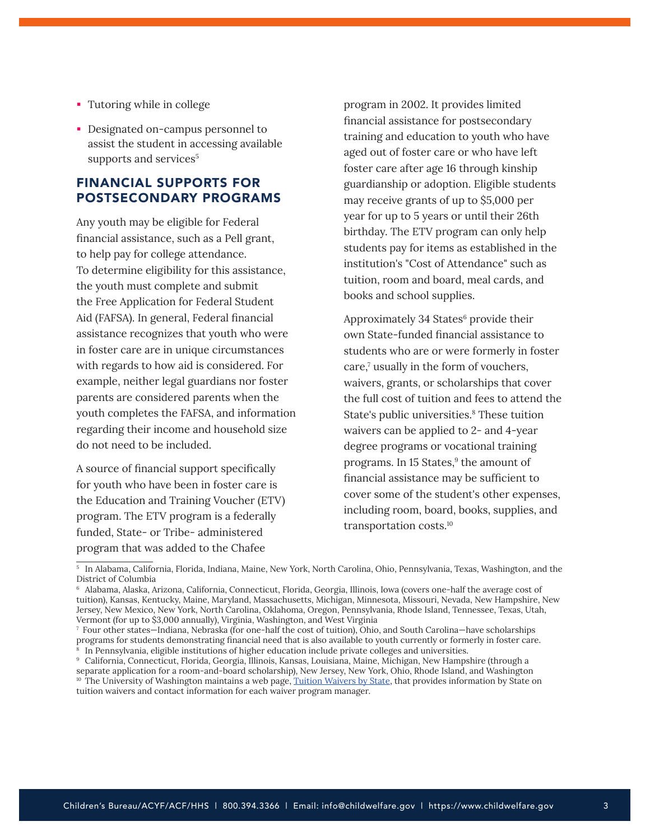- <span id="page-2-0"></span>Tutoring while in college
- Designated on-campus personnel to assist the student in accessing available supports and services<sup>5</sup>

## FINANCIAL SUPPORTS FOR POSTSECONDARY PROGRAMS

Any youth may be eligible for Federal financial assistance, such as a Pell grant, to help pay for college attendance. To determine eligibility for this assistance, the youth must complete and submit the Free Application for Federal Student Aid (FAFSA). In general, Federal financial assistance recognizes that youth who were in foster care are in unique circumstances with regards to how aid is considered. For example, neither legal guardians nor foster parents are considered parents when the youth completes the FAFSA, and information regarding their income and household size do not need to be included.

A source of financial support specifically for youth who have been in foster care is the Education and Training Voucher (ETV) program. The ETV program is a federally funded, State- or Tribe- administered program that was added to the Chafee

program in 2002. It provides limited financial assistance for postsecondary training and education to youth who have aged out of foster care or who have left foster care after age 16 through kinship guardianship or adoption. Eligible students may receive grants of up to \$5,000 per year for up to 5 years or until their 26th birthday. The ETV program can only help students pay for items as established in the institution's "Cost of Attendance" such as tuition, room and board, meal cards, and books and school supplies.

Approximately 34 States<sup>6</sup> provide their own State-funded financial assistance to students who are or were formerly in foster care,<sup>7</sup> usually in the form of vouchers, waivers, grants, or scholarships that cover the full cost of tuition and fees to attend the State's public universities.<sup>8</sup> These tuition waivers can be applied to 2- and 4-year degree programs or vocational training programs. In 15 States,<sup>9</sup> the amount of financial assistance may be sufficient to cover some of the student's other expenses, including room, board, books, supplies, and transportation costs.10

<sup>5</sup> In Alabama, California, Florida, Indiana, Maine, New York, North Carolina, Ohio, Pennsylvania, Texas, Washington, and the District of Columbia

<sup>6</sup> Alabama, Alaska, Arizona, California, Connecticut, Florida, Georgia, Illinois, Iowa (covers one-half the average cost of tuition), Kansas, Kentucky, Maine, Maryland, Massachusetts, Michigan, Minnesota, Missouri, Nevada, New Hampshire, New Jersey, New Mexico, New York, North Carolina, Oklahoma, Oregon, Pennsylvania, Rhode Island, Tennessee, Texas, Utah, Vermont (for up to \$3,000 annually), Virginia, Washington, and West Virginia

<sup>7</sup> Four other states—Indiana, Nebraska (for one-half the cost of tuition), Ohio, and South Carolina—have scholarships programs for students demonstrating financial need that is also available to youth currently or formerly in foster care. 8 In Pennsylvania, eligible institutions of higher education include private colleges and universities.

<sup>9</sup> California, Connecticut, Florida, Georgia, Illinois, Kansas, Louisiana, Maine, Michigan, New Hampshire (through a separate application for a room-and-board scholarship), New Jersey, New York, Ohio, Rhode Island, and Washington <sup>10</sup> The University of Washington maintains a web page, [Tuition Waivers by State,](http://depts.washington.edu/fostered/tuition-waivers-state) that provides information by State on tuition waivers and contact information for each waiver program manager.